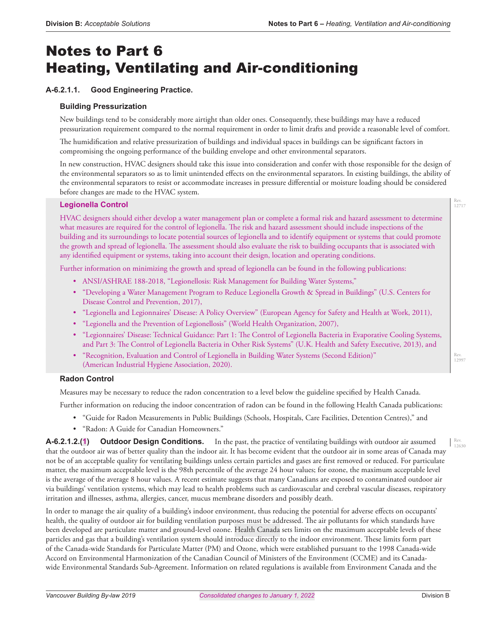# Notes to Part 6 Heating, Ventilating and Air-conditioning

## **A-6.2.1.1. Good Engineering Practice.**

## **Building Pressurization**

New buildings tend to be considerably more airtight than older ones. Consequently, these buildings may have a reduced pressurization requirement compared to the normal requirement in order to limit drafts and provide a reasonable level of comfort.

The humidification and relative pressurization of buildings and individual spaces in buildings can be significant factors in compromising the ongoing performance of the building envelope and other environmental separators.

In new construction, HVAC designers should take this issue into consideration and confer with those responsible for the design of the environmental separators so as to limit unintended effects on the environmental separators. In existing buildings, the ability of the environmental separators to resist or accommodate increases in pressure differential or moisture loading should be considered before changes are made to the HVAC system.

## **Legionella Control**

HVAC designers should either develop a water management plan or complete a formal risk and hazard assessment to determine what measures are required for the control of legionella. The risk and hazard assessment should include inspections of the building and its surroundings to locate potential sources of legionella and to identify equipment or systems that could promote the growth and spread of legionella. The assessment should also evaluate the risk to building occupants that is associated with any identified equipment or systems, taking into account their design, location and operating conditions.

Further information on minimizing the growth and spread of legionella can be found in the following publications:

- ANSI/ASHRAE 188-2018, "Legionellosis: Risk Management for Building Water Systems,"
- "Developing a Water Management Program to Reduce Legionella Growth & Spread in Buildings" (U.S. Centers for Disease Control and Prevention, 2017),
- "Legionella and Legionnaires' Disease: A Policy Overview" (European Agency for Safety and Health at Work, 2011),
- "Legionella and the Prevention of Legionellosis" (World Health Organization, 2007),
- "Legionnaires' Disease: Technical Guidance: Part 1: The Control of Legionella Bacteria in Evaporative Cooling Systems, and Part 3: The Control of Legionella Bacteria in Other Risk Systems" (U.K. Health and Safety Executive, 2013), and
- "Recognition, Evaluation and Control of Legionella in Building Water Systems (Second Edition)" (American Industrial Hygiene Association, 2020).

## **Radon Control**

Measures may be necessary to reduce the radon concentration to a level below the guideline specified by Health Canada.

Further information on reducing the indoor concentration of radon can be found in the following Health Canada publications:

- "Guide for Radon Measurements in Public Buildings (Schools, Hospitals, Care Facilities, Detention Centres)," and
- "Radon: A Guide for Canadian Homeowners."

**A-6.2.1.2.(1) Outdoor Design Conditions.** In the past, the practice of ventilating buildings with outdoor air assumed that the outdoor air was of better quality than the indoor air. It has become evident that the outdoor air in some areas of Canada may not be of an acceptable quality for ventilating buildings unless certain particles and gases are first removed or reduced. For particulate matter, the maximum acceptable level is the 98th percentile of the average 24 hour values; for ozone, the maximum acceptable level is the average of the average 8 hour values. A recent estimate suggests that many Canadians are exposed to contaminated outdoor air via buildings' ventilation systems, which may lead to health problems such as cardiovascular and cerebral vascular diseases, respiratory irritation and illnesses, asthma, allergies, cancer, mucus membrane disorders and possibly death.

In order to manage the air quality of a building's indoor environment, thus reducing the potential for adverse effects on occupants' health, the quality of outdoor air for building ventilation purposes must be addressed. The air pollutants for which standards have been developed are particulate matter and ground-level ozone. Health Canada sets limits on the maximum acceptable levels of these particles and gas that a building's ventilation system should introduce directly to the indoor environment. These limits form part of the Canada-wide Standards for Particulate Matter (PM) and Ozone, which were established pursuant to the 1998 Canada-wide Accord on Environmental Harmonization of the Canadian Council of Ministers of the Environment (CCME) and its Canadawide Environmental Standards Sub-Agreement. Information on related regulations is available from Environment Canada and the

Rev. 12630

Rev. 12717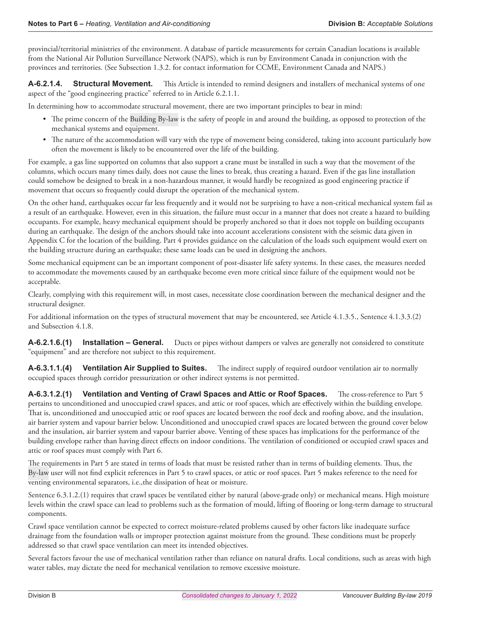provincial/territorial ministries of the environment. A database of particle measurements for certain Canadian locations is available from the National Air Pollution Surveillance Network (NAPS), which is run by Environment Canada in conjunction with the provinces and territories. (See Subsection 1.3.2. for contact information for CCME, Environment Canada and NAPS.)

**A-6.2.1.4. Structural Movement.** This Article is intended to remind designers and installers of mechanical systems of one aspect of the "good engineering practice" referred to in Article 6.2.1.1.

In determining how to accommodate structural movement, there are two important principles to bear in mind:

- The prime concern of the Building By-law is the safety of people in and around the building, as opposed to protection of the mechanical systems and equipment.
- The nature of the accommodation will vary with the type of movement being considered, taking into account particularly how often the movement is likely to be encountered over the life of the building.

For example, a gas line supported on columns that also support a crane must be installed in such a way that the movement of the columns, which occurs many times daily, does not cause the lines to break, thus creating a hazard. Even if the gas line installation could somehow be designed to break in a non-hazardous manner, it would hardly be recognized as good engineering practice if movement that occurs so frequently could disrupt the operation of the mechanical system.

On the other hand, earthquakes occur far less frequently and it would not be surprising to have a non-critical mechanical system fail as a result of an earthquake. However, even in this situation, the failure must occur in a manner that does not create a hazard to building occupants. For example, heavy mechanical equipment should be properly anchored so that it does not topple on building occupants during an earthquake. The design of the anchors should take into account accelerations consistent with the seismic data given in Appendix C for the location of the building. Part 4 provides guidance on the calculation of the loads such equipment would exert on the building structure during an earthquake; these same loads can be used in designing the anchors.

Some mechanical equipment can be an important component of post-disaster life safety systems. In these cases, the measures needed to accommodate the movements caused by an earthquake become even more critical since failure of the equipment would not be acceptable.

Clearly, complying with this requirement will, in most cases, necessitate close coordination between the mechanical designer and the structural designer.

For additional information on the types of structural movement that may be encountered, see Article 4.1.3.5., Sentence 4.1.3.3.(2) and Subsection 4.1.8.

**A-6.2.1.6.(1) Installation – General.** Ducts or pipes without dampers or valves are generally not considered to constitute "equipment" and are therefore not subject to this requirement.

**A-6.3.1.1.(4) Ventilation Air Supplied to Suites.** The indirect supply of required outdoor ventilation air to normally occupied spaces through corridor pressurization or other indirect systems is not permitted.

**A-6.3.1.2.(1) Ventilation and Venting of Crawl Spaces and Attic or Roof Spaces.** The cross-reference to Part 5 pertains to unconditioned and unoccupied crawl spaces, and attic or roof spaces, which are effectively within the building envelope. That is, unconditioned and unoccupied attic or roof spaces are located between the roof deck and roofing above, and the insulation, air barrier system and vapour barrier below. Unconditioned and unoccupied crawl spaces are located between the ground cover below and the insulation, air barrier system and vapour barrier above. Venting of these spaces has implications for the performance of the building envelope rather than having direct effects on indoor conditions. The ventilation of conditioned or occupied crawl spaces and attic or roof spaces must comply with Part 6.

The requirements in Part 5 are stated in terms of loads that must be resisted rather than in terms of building elements. Thus, the By-law user will not find explicit references in Part 5 to crawl spaces, or attic or roof spaces. Part 5 makes reference to the need for venting environmental separators, i.e.,the dissipation of heat or moisture.

Sentence 6.3.1.2.(1) requires that crawl spaces be ventilated either by natural (above-grade only) or mechanical means. High moisture levels within the crawl space can lead to problems such as the formation of mould, lifting of flooring or long-term damage to structural components.

Crawl space ventilation cannot be expected to correct moisture-related problems caused by other factors like inadequate surface drainage from the foundation walls or improper protection against moisture from the ground. These conditions must be properly addressed so that crawl space ventilation can meet its intended objectives.

Several factors favour the use of mechanical ventilation rather than reliance on natural drafts. Local conditions, such as areas with high water tables, may dictate the need for mechanical ventilation to remove excessive moisture.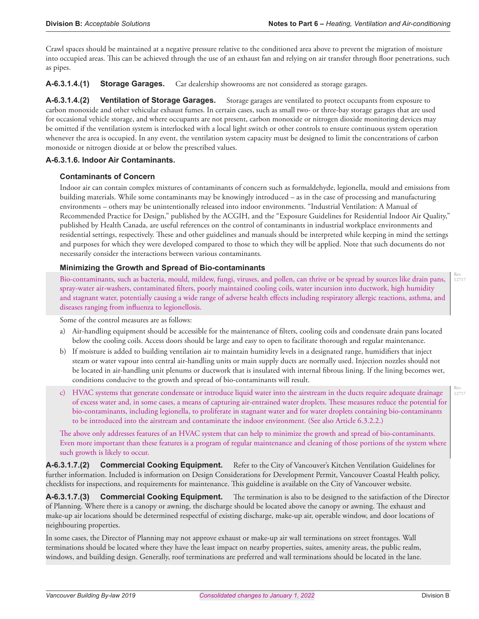Crawl spaces should be maintained at a negative pressure relative to the conditioned area above to prevent the migration of moisture into occupied areas. This can be achieved through the use of an exhaust fan and relying on air transfer through floor penetrations, such as pipes.

**A-6.3.1.4.(1) Storage Garages.** Car dealership showrooms are not considered as storage garages.

**A-6.3.1.4.(2) Ventilation of Storage Garages.** Storage garages are ventilated to protect occupants from exposure to carbon monoxide and other vehicular exhaust fumes. In certain cases, such as small two- or three-bay storage garages that are used for occasional vehicle storage, and where occupants are not present, carbon monoxide or nitrogen dioxide monitoring devices may be omitted if the ventilation system is interlocked with a local light switch or other controls to ensure continuous system operation whenever the area is occupied. In any event, the ventilation system capacity must be designed to limit the concentrations of carbon monoxide or nitrogen dioxide at or below the prescribed values.

#### **A-6.3.1.6. Indoor Air Contaminants.**

#### **Contaminants of Concern**

Indoor air can contain complex mixtures of contaminants of concern such as formaldehyde, legionella, mould and emissions from building materials. While some contaminants may be knowingly introduced – as in the case of processing and manufacturing environments – others may be unintentionally released into indoor environments. "Industrial Ventilation: A Manual of Recommended Practice for Design," published by the ACGIH, and the "Exposure Guidelines for Residential Indoor Air Quality," published by Health Canada, are useful references on the control of contaminants in industrial workplace environments and residential settings, respectively. These and other guidelines and manuals should be interpreted while keeping in mind the settings and purposes for which they were developed compared to those to which they will be applied. Note that such documents do not necessarily consider the interactions between various contaminants.

#### **Minimizing the Growth and Spread of Bio-contaminants**

Bio-contaminants, such as bacteria, mould, mildew, fungi, viruses, and pollen, can thrive or be spread by sources like drain pans, spray-water air-washers, contaminated filters, poorly maintained cooling coils, water incursion into ductwork, high humidity and stagnant water, potentially causing a wide range of adverse health effects including respiratory allergic reactions, asthma, and diseases ranging from influenza to legionellosis.

Some of the control measures are as follows:

- a) Air-handling equipment should be accessible for the maintenance of filters, cooling coils and condensate drain pans located below the cooling coils. Access doors should be large and easy to open to facilitate thorough and regular maintenance.
- b) If moisture is added to building ventilation air to maintain humidity levels in a designated range, humidifiers that inject steam or water vapour into central air-handling units or main supply ducts are normally used. Injection nozzles should not be located in air-handling unit plenums or ductwork that is insulated with internal fibrous lining. If the lining becomes wet, conditions conducive to the growth and spread of bio-contaminants will result.
- c) HVAC systems that generate condensate or introduce liquid water into the airstream in the ducts require adequate drainage of excess water and, in some cases, a means of capturing air-entrained water droplets. These measures reduce the potential for bio-contaminants, including legionella, to proliferate in stagnant water and for water droplets containing bio-contaminants to be introduced into the airstream and contaminate the indoor environment. (See also Article 6.3.2.2.)

The above only addresses features of an HVAC system that can help to minimize the growth and spread of bio-contaminants. Even more important than these features is a program of regular maintenance and cleaning of those portions of the system where such growth is likely to occur.

**A-6.3.1.7.(2) Commercial Cooking Equipment.** Refer to the City of Vancouver's Kitchen Ventilation Guidelines for further information. Included is information on Design Considerations for Development Permit, Vancouver Coastal Health policy, checklists for inspections, and requirements for maintenance. This guideline is available on the City of Vancouver website.

**A-6.3.1.7.(3) Commercial Cooking Equipment.** The termination is also to be designed to the satisfaction of the Director of Planning. Where there is a canopy or awning, the discharge should be located above the canopy or awning. The exhaust and make-up air locations should be determined respectful of existing discharge, make-up air, operable window, and door locations of neighbouring properties.

In some cases, the Director of Planning may not approve exhaust or make-up air wall terminations on street frontages. Wall terminations should be located where they have the least impact on nearby properties, suites, amenity areas, the public realm, windows, and building design. Generally, roof terminations are preferred and wall terminations should be located in the lane.

Rev. 12717

Rev. 12717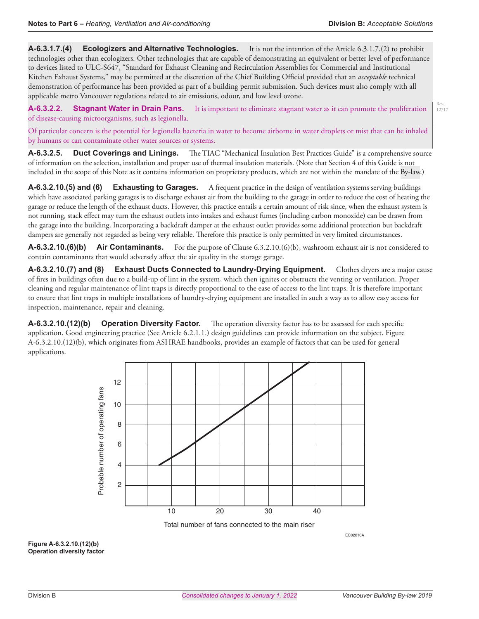Rev. 12717

**A-6.3.1.7.(4) Ecologizers and Alternative Technologies.** It is not the intention of the Article 6.3.1.7.(2) to prohibit technologies other than ecologizers. Other technologies that are capable of demonstrating an equivalent or better level of performance to devices listed to ULC-S647, "Standard for Exhaust Cleaning and Recirculation Assemblies for Commercial and Institutional Kitchen Exhaust Systems," may be permitted at the discretion of the Chief Building Official provided that an *acceptable* technical demonstration of performance has been provided as part of a building permit submission. Such devices must also comply with all applicable metro Vancouver regulations related to air emissions, odour, and low level ozone.

**A-6.3.2.2. Stagnant Water in Drain Pans.** It is important to eliminate stagnant water as it can promote the proliferation of disease-causing microorganisms, such as legionella.

Of particular concern is the potential for legionella bacteria in water to become airborne in water droplets or mist that can be inhaled by humans or can contaminate other water sources or systems.

**A-6.3.2.5. Duct Coverings and Linings.** The TIAC "Mechanical Insulation Best Practices Guide" is a comprehensive source of information on the selection, installation and proper use of thermal insulation materials. (Note that Section 4 of this Guide is not included in the scope of this Note as it contains information on proprietary products, which are not within the mandate of the By-law.)

**A-6.3.2.10.(5) and (6) Exhausting to Garages.** A frequent practice in the design of ventilation systems serving buildings which have associated parking garages is to discharge exhaust air from the building to the garage in order to reduce the cost of heating the garage or reduce the length of the exhaust ducts. However, this practice entails a certain amount of risk since, when the exhaust system is not running, stack effect may turn the exhaust outlets into intakes and exhaust fumes (including carbon monoxide) can be drawn from the garage into the building. Incorporating a backdraft damper at the exhaust outlet provides some additional protection but backdraft dampers are generally not regarded as being very reliable. Therefore this practice is only permitted in very limited circumstances.

**A-6.3.2.10.(6)(b) Air Contaminants.** For the purpose of Clause 6.3.2.10.(6)(b), washroom exhaust air is not considered to contain contaminants that would adversely affect the air quality in the storage garage.

**A-6.3.2.10.(7) and (8) Exhaust Ducts Connected to Laundry-Drying Equipment.** Clothes dryers are a major cause of fires in buildings often due to a build-up of lint in the system, which then ignites or obstructs the venting or ventilation. Proper cleaning and regular maintenance of lint traps is directly proportional to the ease of access to the lint traps. It is therefore important to ensure that lint traps in multiple installations of laundry-drying equipment are installed in such a way as to allow easy access for inspection, maintenance, repair and cleaning.

**A-6.3.2.10.(12)(b) Operation Diversity Factor.** The operation diversity factor has to be assessed for each specific application. Good engineering practice (See Article 6.2.1.1.) design guidelines can provide information on the subject. Figure A-6.3.2.10.(12)(b), which originates from ASHRAE handbooks, provides an example of factors that can be used for general applications.



EC02010A

**Figure A-6.3.2.10.(12)(b) Operation diversity factor**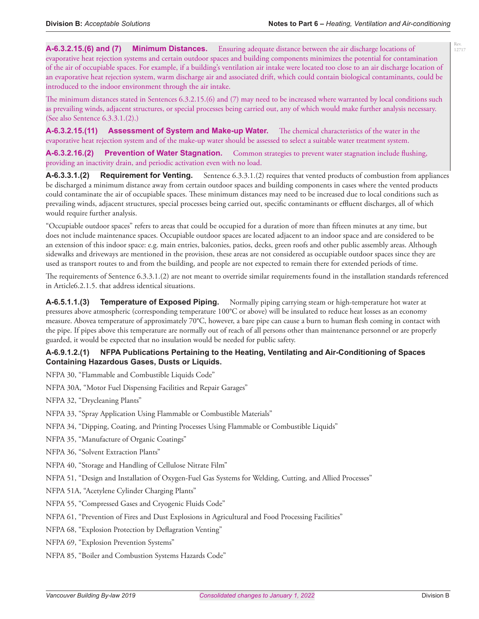Rev. 12717

**A-6.3.2.15.(6) and (7) Minimum Distances.** Ensuring adequate distance between the air discharge locations of evaporative heat rejection systems and certain outdoor spaces and building components minimizes the potential for contamination of the air of occupiable spaces. For example, if a building's ventilation air intake were located too close to an air discharge location of an evaporative heat rejection system, warm discharge air and associated drift, which could contain biological contaminants, could be introduced to the indoor environment through the air intake.

The minimum distances stated in Sentences 6.3.2.15.(6) and (7) may need to be increased where warranted by local conditions such as prevailing winds, adjacent structures, or special processes being carried out, any of which would make further analysis necessary. (See also Sentence 6.3.3.1.(2).)

**A-6.3.2.15.(11) Assessment of System and Make-up Water.** The chemical characteristics of the water in the evaporative heat rejection system and of the make-up water should be assessed to select a suitable water treatment system.

**A-6.3.2.16.(2) Prevention of Water Stagnation.** Common strategies to prevent water stagnation include flushing, providing an inactivity drain, and periodic activation even with no load.

**A-6.3.3.1.(2) Requirement for Venting.** Sentence 6.3.3.1.(2) requires that vented products of combustion from appliances be discharged a minimum distance away from certain outdoor spaces and building components in cases where the vented products could contaminate the air of occupiable spaces. These minimum distances may need to be increased due to local conditions such as prevailing winds, adjacent structures, special processes being carried out, specific contaminants or effluent discharges, all of which would require further analysis.

"Occupiable outdoor spaces" refers to areas that could be occupied for a duration of more than fifteen minutes at any time, but does not include maintenance spaces. Occupiable outdoor spaces are located adjacent to an indoor space and are considered to be an extension of this indoor space: e.g. main entries, balconies, patios, decks, green roofs and other public assembly areas. Although sidewalks and driveways are mentioned in the provision, these areas are not considered as occupiable outdoor spaces since they are used as transport routes to and from the building, and people are not expected to remain there for extended periods of time.

The requirements of Sentence 6.3.3.1.(2) are not meant to override similar requirements found in the installation standards referenced in Article6.2.1.5. that address identical situations.

**A-6.5.1.1.(3) Temperature of Exposed Piping.** Normally piping carrying steam or high-temperature hot water at pressures above atmospheric (corresponding temperature 100°C or above) will be insulated to reduce heat losses as an economy measure. Abovea temperature of approximately 70°C, however, a bare pipe can cause a burn to human flesh coming in contact with the pipe. If pipes above this temperature are normally out of reach of all persons other than maintenance personnel or are properly guarded, it would be expected that no insulation would be needed for public safety.

## **A-6.9.1.2.(1) NFPA Publications Pertaining to the Heating, Ventilating and Air-Conditioning of Spaces Containing Hazardous Gases, Dusts or Liquids.**

NFPA 30, "Flammable and Combustible Liquids Code"

NFPA 30A, "Motor Fuel Dispensing Facilities and Repair Garages"

NFPA 32, "Drycleaning Plants"

NFPA 33, "Spray Application Using Flammable or Combustible Materials"

NFPA 34, "Dipping, Coating, and Printing Processes Using Flammable or Combustible Liquids"

NFPA 35, "Manufacture of Organic Coatings"

NFPA 36, "Solvent Extraction Plants"

NFPA 40, "Storage and Handling of Cellulose Nitrate Film"

NFPA 51, "Design and Installation of Oxygen-Fuel Gas Systems for Welding, Cutting, and Allied Processes"

NFPA 51A, "Acetylene Cylinder Charging Plants"

NFPA 55, "Compressed Gases and Cryogenic Fluids Code"

NFPA 61, "Prevention of Fires and Dust Explosions in Agricultural and Food Processing Facilities"

NFPA 68, "Explosion Protection by Deflagration Venting"

NFPA 69, "Explosion Prevention Systems"

NFPA 85, "Boiler and Combustion Systems Hazards Code"